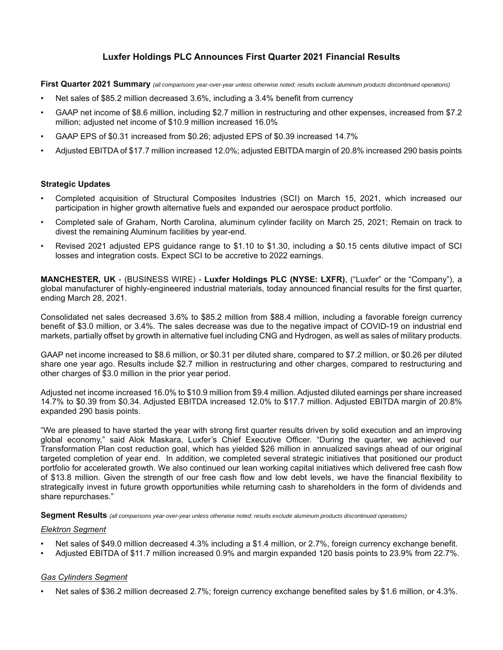## **Luxfer Holdings PLC Announces First Quarter 2021 Financial Results**

**First Quarter 2021 Summary** *(all comparisons year-over-year unless otherwise noted; results exclude aluminum products discontinued operations)*

- Net sales of \$85.2 million decreased 3.6%, including a 3.4% benefit from currency
- GAAP net income of \$8.6 million, including \$2.7 million in restructuring and other expenses, increased from \$7.2 million; adjusted net income of \$10.9 million increased 16.0%
- GAAP EPS of \$0.31 increased from \$0.26; adjusted EPS of \$0.39 increased 14.7%
- Adjusted EBITDA of \$17.7 million increased 12.0%; adjusted EBITDA margin of 20.8% increased 290 basis points

### **Strategic Updates**

- Completed acquisition of Structural Composites Industries (SCI) on March 15, 2021, which increased our participation in higher growth alternative fuels and expanded our aerospace product portfolio.
- Completed sale of Graham, North Carolina, aluminum cylinder facility on March 25, 2021; Remain on track to divest the remaining Aluminum facilities by year-end.
- Revised 2021 adjusted EPS guidance range to \$1.10 to \$1.30, including a \$0.15 cents dilutive impact of SCI losses and integration costs. Expect SCI to be accretive to 2022 earnings.

**MANCHESTER, UK** - (BUSINESS WIRE) - **Luxfer Holdings PLC (NYSE: LXFR)**, ("Luxfer" or the "Company"), a global manufacturer of highly-engineered industrial materials, today announced financial results for the first quarter, ending March 28, 2021.

Consolidated net sales decreased 3.6% to \$85.2 million from \$88.4 million, including a favorable foreign currency benefit of \$3.0 million, or 3.4%. The sales decrease was due to the negative impact of COVID-19 on industrial end markets, partially offset by growth in alternative fuel including CNG and Hydrogen, as well as sales of military products.

GAAP net income increased to \$8.6 million, or \$0.31 per diluted share, compared to \$7.2 million, or \$0.26 per diluted share one year ago. Results include \$2.7 million in restructuring and other charges, compared to restructuring and other charges of \$3.0 million in the prior year period.

Adjusted net income increased 16.0% to \$10.9 million from \$9.4 million. Adjusted diluted earnings per share increased 14.7% to \$0.39 from \$0.34. Adjusted EBITDA increased 12.0% to \$17.7 million. Adjusted EBITDA margin of 20.8% expanded 290 basis points.

"We are pleased to have started the year with strong first quarter results driven by solid execution and an improving global economy," said Alok Maskara, Luxfer's Chief Executive Officer. "During the quarter, we achieved our Transformation Plan cost reduction goal, which has yielded \$26 million in annualized savings ahead of our original targeted completion of year end. In addition, we completed several strategic initiatives that positioned our product portfolio for accelerated growth. We also continued our lean working capital initiatives which delivered free cash flow of \$13.8 million. Given the strength of our free cash flow and low debt levels, we have the financial flexibility to strategically invest in future growth opportunities while returning cash to shareholders in the form of dividends and share repurchases."

**Segment Results** *(all comparisons year-over-year unless otherwise noted; results exclude aluminum products discontinued operations)*

### *Elektron Segment*

- Net sales of \$49.0 million decreased 4.3% including a \$1.4 million, or 2.7%, foreign currency exchange benefit.
- Adjusted EBITDA of \$11.7 million increased 0.9% and margin expanded 120 basis points to 23.9% from 22.7%.

### *Gas Cylinders Segment*

• Net sales of \$36.2 million decreased 2.7%; foreign currency exchange benefited sales by \$1.6 million, or 4.3%.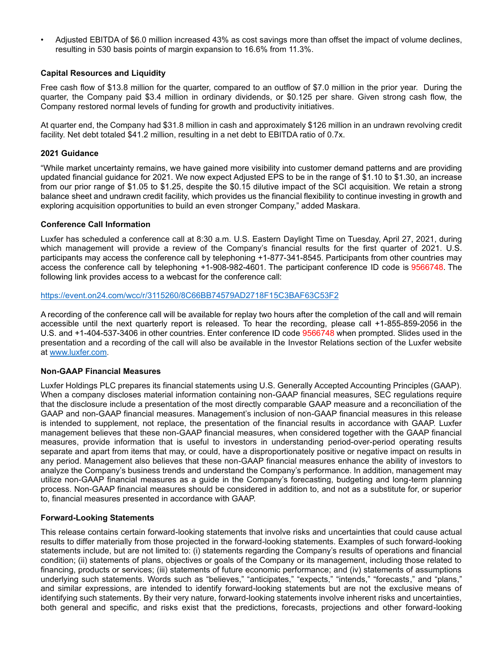• Adjusted EBITDA of \$6.0 million increased 43% as cost savings more than offset the impact of volume declines, resulting in 530 basis points of margin expansion to 16.6% from 11.3%.

### **Capital Resources and Liquidity**

Free cash flow of \$13.8 million for the quarter, compared to an outflow of \$7.0 million in the prior year. During the quarter, the Company paid \$3.4 million in ordinary dividends, or \$0.125 per share. Given strong cash flow, the Company restored normal levels of funding for growth and productivity initiatives.

At quarter end, the Company had \$31.8 million in cash and approximately \$126 million in an undrawn revolving credit facility. Net debt totaled \$41.2 million, resulting in a net debt to EBITDA ratio of 0.7x.

### **2021 Guidance**

"While market uncertainty remains, we have gained more visibility into customer demand patterns and are providing updated financial guidance for 2021. We now expect Adjusted EPS to be in the range of \$1.10 to \$1.30, an increase from our prior range of \$1.05 to \$1.25, despite the \$0.15 dilutive impact of the SCI acquisition. We retain a strong balance sheet and undrawn credit facility, which provides us the financial flexibility to continue investing in growth and exploring acquisition opportunities to build an even stronger Company," added Maskara.

### **Conference Call Information**

Luxfer has scheduled a conference call at 8:30 a.m. U.S. Eastern Daylight Time on Tuesday, April 27, 2021, during which management will provide a review of the Company's financial results for the first quarter of 2021. U.S. participants may access the conference call by telephoning +1-877-341-8545. Participants from other countries may access the conference call by telephoning +1-908-982-4601. The participant conference ID code is 9566748. The following link provides access to a webcast for the conference call:

### [https://event.on24.com/wcc/r/3115260/8C66BB74579AD2718F15C3BAF63C53F2](https://nam11.safelinks.protection.outlook.com/?url=https%3A%2F%2Fevent.on24.com%2Fwcc%2Fr%2F3115260%2F8C66BB74579AD2718F15C3BAF63C53F2&data=04%7C01%7Cemily.lahmayer%40luxfer.com%7C049d8732697b4451f55f08d8fb534223%7Cda1c387474f14048ba3da878e469ae02%7C0%7C0%7C637535682319911539%7CUnknown%7CTWFpbGZsb3d8eyJWIjoiMC4wLjAwMDAiLCJQIjoiV2luMzIiLCJBTiI6Ik1haWwiLCJXVCI6Mn0%3D%7C1000&sdata=w3vY5sRQZnhSn3irq37yKZ5LiSLGHjFjtC%2BUrqw4mX8%3D&reserved=0)

A recording of the conference call will be available for replay two hours after the completion of the call and will remain accessible until the next quarterly report is released. To hear the recording, please call +1-855-859-2056 in the U.S. and +1-404-537-3406 in other countries. Enter conference ID code 9566748 when prompted. Slides used in the presentation and a recording of the call will also be available in the Investor Relations section of the Luxfer website at www.luxfer.com.

### **Non-GAAP Financial Measures**

Luxfer Holdings PLC prepares its financial statements using U.S. Generally Accepted Accounting Principles (GAAP). When a company discloses material information containing non-GAAP financial measures, SEC regulations require that the disclosure include a presentation of the most directly comparable GAAP measure and a reconciliation of the GAAP and non-GAAP financial measures. Management's inclusion of non-GAAP financial measures in this release is intended to supplement, not replace, the presentation of the financial results in accordance with GAAP. Luxfer management believes that these non-GAAP financial measures, when considered together with the GAAP financial measures, provide information that is useful to investors in understanding period-over-period operating results separate and apart from items that may, or could, have a disproportionately positive or negative impact on results in any period. Management also believes that these non-GAAP financial measures enhance the ability of investors to analyze the Company's business trends and understand the Company's performance. In addition, management may utilize non-GAAP financial measures as a guide in the Company's forecasting, budgeting and long-term planning process. Non-GAAP financial measures should be considered in addition to, and not as a substitute for, or superior to, financial measures presented in accordance with GAAP.

### **Forward-Looking Statements**

This release contains certain forward-looking statements that involve risks and uncertainties that could cause actual results to differ materially from those projected in the forward-looking statements. Examples of such forward-looking statements include, but are not limited to: (i) statements regarding the Company's results of operations and financial condition; (ii) statements of plans, objectives or goals of the Company or its management, including those related to financing, products or services; (iii) statements of future economic performance; and (iv) statements of assumptions underlying such statements. Words such as "believes," "anticipates," "expects," "intends," "forecasts," and "plans," and similar expressions, are intended to identify forward-looking statements but are not the exclusive means of identifying such statements. By their very nature, forward-looking statements involve inherent risks and uncertainties, both general and specific, and risks exist that the predictions, forecasts, projections and other forward-looking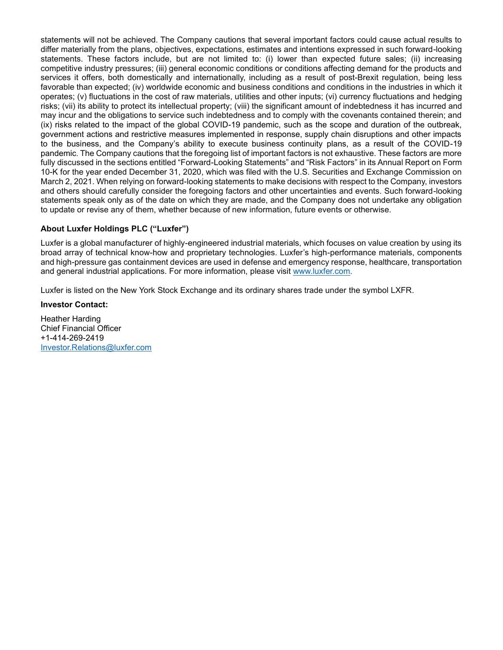statements will not be achieved. The Company cautions that several important factors could cause actual results to differ materially from the plans, objectives, expectations, estimates and intentions expressed in such forward-looking statements. These factors include, but are not limited to: (i) lower than expected future sales; (ii) increasing competitive industry pressures; (iii) general economic conditions or conditions affecting demand for the products and services it offers, both domestically and internationally, including as a result of post-Brexit regulation, being less favorable than expected; (iv) worldwide economic and business conditions and conditions in the industries in which it operates; (v) fluctuations in the cost of raw materials, utilities and other inputs; (vi) currency fluctuations and hedging risks; (vii) its ability to protect its intellectual property; (viii) the significant amount of indebtedness it has incurred and may incur and the obligations to service such indebtedness and to comply with the covenants contained therein; and (ix) risks related to the impact of the global COVID-19 pandemic, such as the scope and duration of the outbreak, government actions and restrictive measures implemented in response, supply chain disruptions and other impacts to the business, and the Company's ability to execute business continuity plans, as a result of the COVID-19 pandemic. The Company cautions that the foregoing list of important factors is not exhaustive. These factors are more fully discussed in the sections entitled "Forward-Looking Statements" and "Risk Factors" in its Annual Report on Form 10-K for the year ended December 31, 2020, which was filed with the U.S. Securities and Exchange Commission on March 2, 2021. When relying on forward-looking statements to make decisions with respect to the Company, investors and others should carefully consider the foregoing factors and other uncertainties and events. Such forward-looking statements speak only as of the date on which they are made, and the Company does not undertake any obligation to update or revise any of them, whether because of new information, future events or otherwise.

### **About Luxfer Holdings PLC ("Luxfer")**

Luxfer is a global manufacturer of highly-engineered industrial materials, which focuses on value creation by using its broad array of technical know-how and proprietary technologies. Luxfer's high-performance materials, components and high-pressure gas containment devices are used in defense and emergency response, healthcare, transportation and general industrial applications. For more information, please visit [www.luxfer.com](http://www.luxfer.com/).

Luxfer is listed on the New York Stock Exchange and its ordinary shares trade under the symbol LXFR.

### **Investor Contact:**

Heather Harding Chief Financial Officer +1-414-269-2419 [Investor.Relations@luxfer.com](mailto:Investor.Relations@luxfer.com)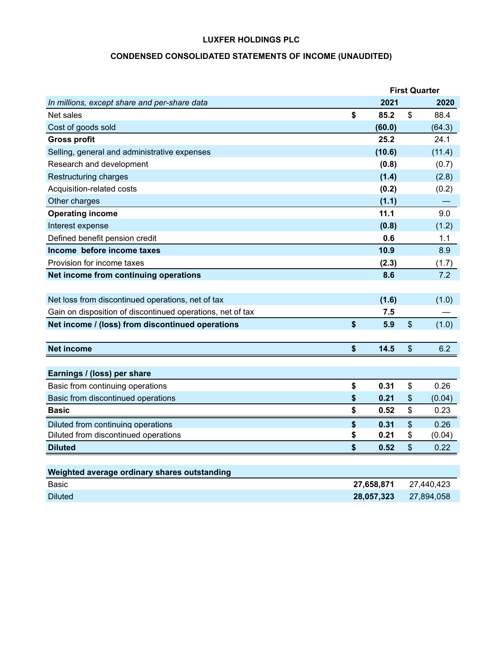# **CONDENSED CONSOLIDATED STATEMENTS OF INCOME (UNAUDITED)**

|                                                            |            | <b>First Quarter</b>       |            |
|------------------------------------------------------------|------------|----------------------------|------------|
| In millions, except share and per-share data               | 2021       |                            | 2020       |
| Net sales                                                  | \$<br>85.2 | \$                         | 88.4       |
| Cost of goods sold                                         | (60.0)     |                            | (64.3)     |
| <b>Gross profit</b>                                        | 25.2       |                            | 24.1       |
| Selling, general and administrative expenses               | (10.6)     |                            | (11.4)     |
| Research and development                                   | (0.8)      |                            | (0.7)      |
| Restructuring charges                                      | (1.4)      |                            | (2.8)      |
| Acquisition-related costs                                  | (0.2)      |                            | (0.2)      |
| Other charges                                              | (1.1)      |                            |            |
| <b>Operating income</b>                                    | 11.1       |                            | 9.0        |
| Interest expense                                           | (0.8)      |                            | (1.2)      |
| Defined benefit pension credit                             | 0.6        |                            | 1.1        |
| Income before income taxes                                 | 10.9       |                            | 8.9        |
| Provision for income taxes                                 | (2.3)      |                            | (1.7)      |
| Net income from continuing operations                      | 8.6        |                            | 7.2        |
|                                                            |            |                            |            |
| Net loss from discontinued operations, net of tax          | (1.6)      |                            | (1.0)      |
| Gain on disposition of discontinued operations, net of tax | 7.5        |                            |            |
| Net income / (loss) from discontinued operations           | \$<br>5.9  | $\mathfrak{S}$             | (1.0)      |
|                                                            |            |                            |            |
| <b>Net income</b>                                          | \$<br>14.5 | $\boldsymbol{\mathsf{S}}$  | 6.2        |
|                                                            |            |                            |            |
| Earnings / (loss) per share                                |            |                            |            |
| Basic from continuing operations                           | \$<br>0.31 | \$                         | 0.26       |
| Basic from discontinued operations                         | \$<br>0.21 | \$                         | (0.04)     |
| <b>Basic</b>                                               | \$<br>0.52 | \$                         | 0.23       |
| Diluted from continuing operations                         | \$<br>0.31 | $\boldsymbol{\mathsf{\$}}$ | 0.26       |
| Diluted from discontinued operations                       | \$<br>0.21 | \$                         | (0.04)     |
| <b>Diluted</b>                                             | \$<br>0.52 | $\mathfrak{S}$             | 0.22       |
|                                                            |            |                            |            |
| Weighted average ordinary shares outstanding               |            |                            |            |
| Basic                                                      | 27,658,871 |                            | 27,440,423 |
| <b>Diluted</b>                                             | 28,057,323 |                            | 27,894,058 |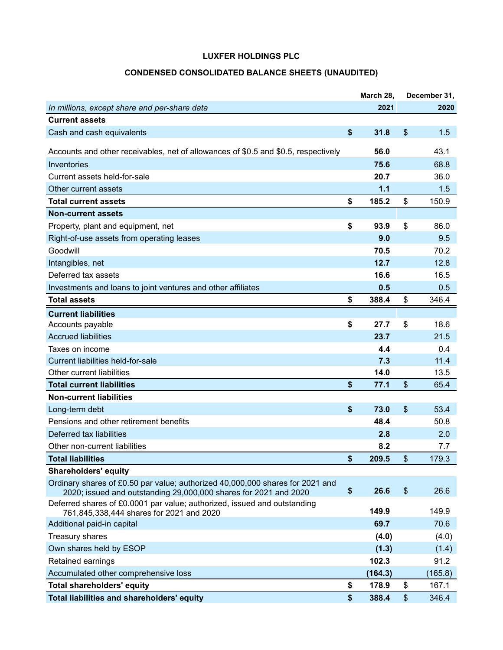## **CONDENSED CONSOLIDATED BALANCE SHEETS (UNAUDITED)**

|                                                                                                                                                   | March 28,   | December 31, |
|---------------------------------------------------------------------------------------------------------------------------------------------------|-------------|--------------|
| In millions, except share and per-share data                                                                                                      | 2021        | 2020         |
| <b>Current assets</b>                                                                                                                             |             |              |
| Cash and cash equivalents                                                                                                                         | \$<br>31.8  | \$<br>1.5    |
| Accounts and other receivables, net of allowances of \$0.5 and \$0.5, respectively                                                                | 56.0        | 43.1         |
| Inventories                                                                                                                                       | 75.6        | 68.8         |
| Current assets held-for-sale                                                                                                                      | 20.7        | 36.0         |
| Other current assets                                                                                                                              | 1.1         | 1.5          |
| <b>Total current assets</b>                                                                                                                       | \$<br>185.2 | \$<br>150.9  |
| <b>Non-current assets</b>                                                                                                                         |             |              |
| Property, plant and equipment, net                                                                                                                | \$<br>93.9  | \$<br>86.0   |
| Right-of-use assets from operating leases                                                                                                         | 9.0         | 9.5          |
| Goodwill                                                                                                                                          | 70.5        | 70.2         |
| Intangibles, net                                                                                                                                  | 12.7        | 12.8         |
| Deferred tax assets                                                                                                                               | 16.6        | 16.5         |
| Investments and loans to joint ventures and other affiliates                                                                                      | 0.5         | 0.5          |
| <b>Total assets</b>                                                                                                                               | \$<br>388.4 | \$<br>346.4  |
| <b>Current liabilities</b>                                                                                                                        |             |              |
| Accounts payable                                                                                                                                  | \$<br>27.7  | \$<br>18.6   |
| <b>Accrued liabilities</b>                                                                                                                        | 23.7        | 21.5         |
| Taxes on income                                                                                                                                   | 4.4         | 0.4          |
| Current liabilities held-for-sale                                                                                                                 | 7.3         | 11.4         |
| Other current liabilities                                                                                                                         | 14.0        | 13.5         |
| <b>Total current liabilities</b>                                                                                                                  | \$<br>77.1  | \$<br>65.4   |
| <b>Non-current liabilities</b>                                                                                                                    |             |              |
| Long-term debt                                                                                                                                    | \$<br>73.0  | \$<br>53.4   |
| Pensions and other retirement benefits                                                                                                            | 48.4        | 50.8         |
| Deferred tax liabilities                                                                                                                          | 2.8         | 2.0          |
| Other non-current liabilities                                                                                                                     | 8.2         | 7.7          |
| <b>Total liabilities</b>                                                                                                                          | \$<br>209.5 | \$<br>179.3  |
| <b>Shareholders' equity</b>                                                                                                                       |             |              |
| Ordinary shares of £0.50 par value; authorized 40,000,000 shares for 2021 and<br>2020; issued and outstanding 29,000,000 shares for 2021 and 2020 | \$<br>26.6  | \$<br>26.6   |
| Deferred shares of £0.0001 par value; authorized, issued and outstanding<br>761,845,338,444 shares for 2021 and 2020                              | 149.9       | 149.9        |
| Additional paid-in capital                                                                                                                        | 69.7        | 70.6         |
| Treasury shares                                                                                                                                   | (4.0)       | (4.0)        |
| Own shares held by ESOP                                                                                                                           | (1.3)       | (1.4)        |
| Retained earnings                                                                                                                                 | 102.3       | 91.2         |
| Accumulated other comprehensive loss                                                                                                              | (164.3)     | (165.8)      |
| <b>Total shareholders' equity</b>                                                                                                                 | \$<br>178.9 | \$<br>167.1  |
| Total liabilities and shareholders' equity                                                                                                        | \$<br>388.4 | \$<br>346.4  |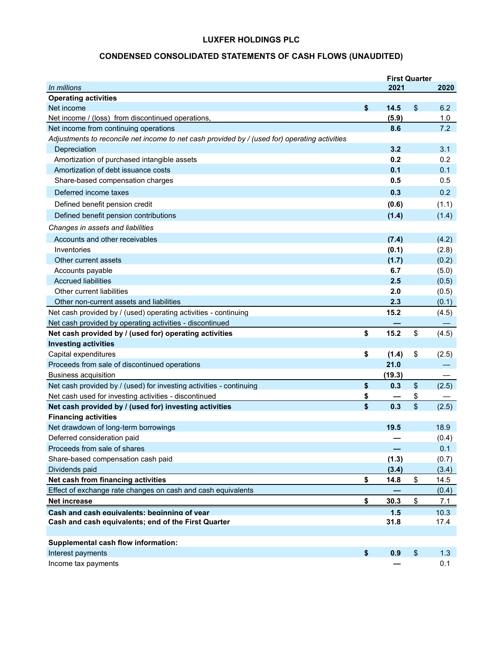# **CONDENSED CONSOLIDATED STATEMENTS OF CASH FLOWS (UNAUDITED)**

|                                                                                               | <b>First Quarter</b> |             |
|-----------------------------------------------------------------------------------------------|----------------------|-------------|
| In millions                                                                                   | 2021                 | 2020        |
| <b>Operating activities</b>                                                                   |                      |             |
| Net income                                                                                    | \$<br>14.5           | \$<br>6.2   |
| Net income / (loss) from discontinued operations,                                             | (5.9)                | 1.0         |
| Net income from continuing operations                                                         | 8.6                  | 7.2         |
| Adjustments to reconcile net income to net cash provided by / (used for) operating activities |                      |             |
| Depreciation                                                                                  | 3.2                  | 3.1         |
| Amortization of purchased intangible assets                                                   | 0.2                  | 0.2         |
| Amortization of debt issuance costs                                                           | 0.1                  | 0.1         |
| Share-based compensation charges                                                              | 0.5                  | 0.5         |
| Deferred income taxes                                                                         | 0.3                  | 0.2         |
| Defined benefit pension credit                                                                | (0.6)                | (1.1)       |
| Defined benefit pension contributions                                                         | (1.4)                | (1.4)       |
| Changes in assets and liabilities                                                             |                      |             |
| Accounts and other receivables                                                                | (7.4)                | (4.2)       |
| Inventories                                                                                   | (0.1)                | (2.8)       |
| Other current assets                                                                          | (1.7)                | (0.2)       |
| Accounts payable                                                                              | 6.7                  | (5.0)       |
| <b>Accrued liabilities</b>                                                                    | 2.5                  | (0.5)       |
| Other current liabilities                                                                     | 2.0                  | (0.5)       |
| Other non-current assets and liabilities                                                      | 2.3                  | (0.1)       |
| Net cash provided by / (used) operating activities - continuing                               | 15.2                 | (4.5)       |
| Net cash provided by operating activities - discontinued                                      |                      |             |
| Net cash provided by / (used for) operating activities                                        | \$<br>15.2           | \$<br>(4.5) |
| <b>Investing activities</b>                                                                   |                      |             |
| Capital expenditures                                                                          | \$<br>(1.4)          | \$<br>(2.5) |
| Proceeds from sale of discontinued operations                                                 | 21.0                 |             |
| <b>Business acquisition</b>                                                                   | (19.3)               |             |
| Net cash provided by / (used) for investing activities - continuing                           | \$<br>0.3            | \$<br>(2.5) |
| Net cash used for investing activities - discontinued                                         | \$                   | \$          |
| Net cash provided by / (used for) investing activities                                        | \$<br>0.3            | \$<br>(2.5) |
| <b>Financing activities</b>                                                                   |                      |             |
| Net drawdown of long-term borrowings                                                          | 19.5                 | 18.9        |
| Deferred consideration paid                                                                   |                      | (0.4)       |
| Proceeds from sale of shares                                                                  |                      | 0.1         |
| Share-based compensation cash paid                                                            | (1.3)                | (0.7)       |
| Dividends paid                                                                                | (3.4)                | (3.4)       |
| Net cash from financing activities                                                            | \$<br>14.8           | \$<br>14.5  |
| Effect of exchange rate changes on cash and cash equivalents                                  |                      | (0.4)       |
| <b>Net increase</b>                                                                           | \$<br>30.3           | \$<br>7.1   |
| Cash and cash equivalents: beginning of year                                                  | 1.5                  | 10.3        |
| Cash and cash equivalents; end of the First Quarter                                           | 31.8                 | 17.4        |
|                                                                                               |                      |             |
| Supplemental cash flow information:                                                           |                      |             |
| Interest payments                                                                             | \$<br>0.9            | \$<br>1.3   |
| Income tax payments                                                                           |                      | 0.1         |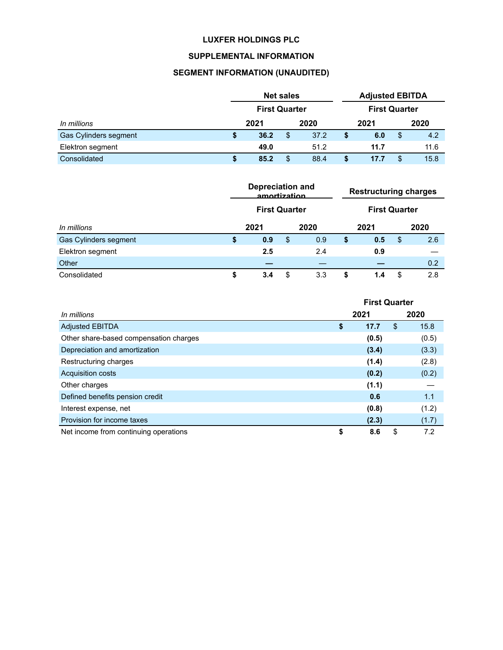## **SUPPLEMENTAL INFORMATION**

# **SEGMENT INFORMATION (UNAUDITED)**

|                              | <b>Net sales</b> |                      |    | <b>Adjusted EBITDA</b> |                      |      |      |      |
|------------------------------|------------------|----------------------|----|------------------------|----------------------|------|------|------|
|                              |                  | <b>First Quarter</b> |    |                        | <b>First Quarter</b> |      |      |      |
| In millions                  |                  | 2021                 |    | 2020                   |                      | 2021 | 2020 |      |
| <b>Gas Cylinders segment</b> | S                | 36.2                 | \$ | 37.2                   | S                    | 6.0  | \$   | 4.2  |
| Elektron segment             |                  | 49.0                 |    | 51.2                   |                      | 11.7 |      | 11.6 |
| Consolidated                 | S                | 85.2                 | \$ | 88.4                   |                      | 17.7 | \$   | 15.8 |

|                              | <b>Depreciation and</b><br>amortization |    |      |    | <b>Restructuring charges</b> |                      |     |  |
|------------------------------|-----------------------------------------|----|------|----|------------------------------|----------------------|-----|--|
|                              | <b>First Quarter</b>                    |    |      |    |                              | <b>First Quarter</b> |     |  |
| In millions                  | 2021                                    |    | 2020 |    | 2021                         | 2020                 |     |  |
| <b>Gas Cylinders segment</b> | \$<br>0.9                               | \$ | 0.9  | \$ | 0.5                          | \$                   | 2.6 |  |
| Elektron segment             | 2.5                                     |    | 2.4  |    | 0.9                          |                      |     |  |
| Other                        |                                         |    |      |    |                              |                      | 0.2 |  |
| Consolidated                 | \$<br>3.4                               | \$ | 3.3  | S  | 1.4                          | \$                   | 2.8 |  |

|                                        | <b>First Quarter</b> |       |    |       |  |
|----------------------------------------|----------------------|-------|----|-------|--|
| In millions                            | 2021                 |       |    | 2020  |  |
| <b>Adjusted EBITDA</b>                 | \$                   | 17.7  | \$ | 15.8  |  |
| Other share-based compensation charges |                      | (0.5) |    | (0.5) |  |
| Depreciation and amortization          |                      | (3.4) |    | (3.3) |  |
| Restructuring charges                  |                      | (1.4) |    | (2.8) |  |
| <b>Acquisition costs</b>               |                      | (0.2) |    | (0.2) |  |
| Other charges                          |                      | (1.1) |    |       |  |
| Defined benefits pension credit        |                      | 0.6   |    | 1.1   |  |
| Interest expense, net                  |                      | (0.8) |    | (1.2) |  |
| Provision for income taxes             |                      | (2.3) |    | (1.7) |  |
| Net income from continuing operations  | \$                   | 8.6   | \$ | 7.2   |  |